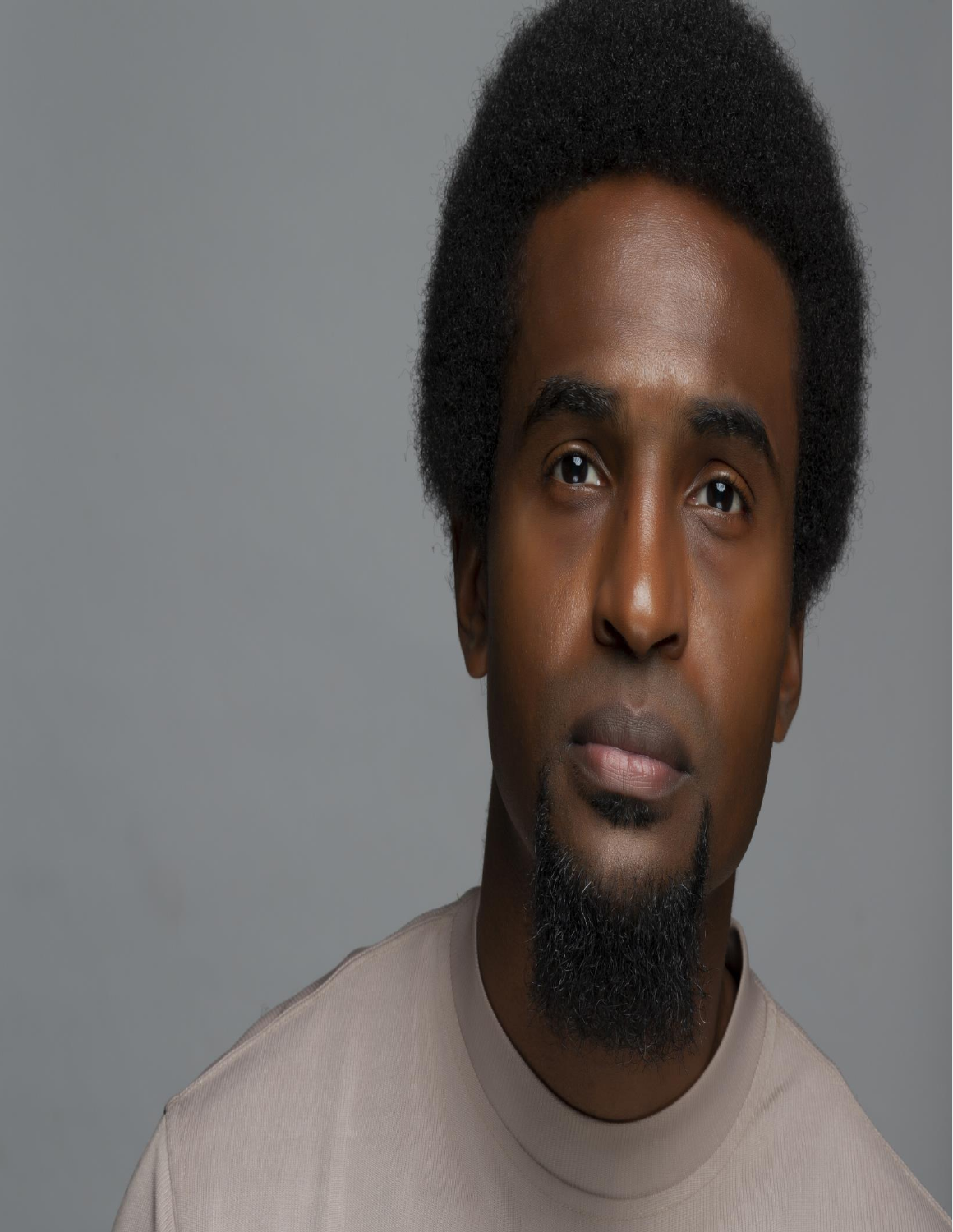